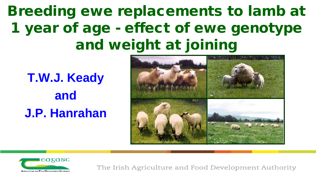## Breeding ewe replacements to lamb at 1 year of age - effect of ewe genotype and weight at joining

**T.W.J. Keady and J.P. Hanrahan**



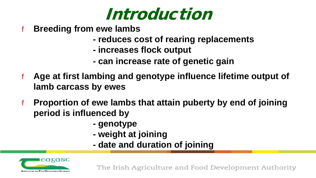

- f **Breeding from ewe lambs**
	- **- reduces cost of rearing replacements**
	- **- increases flock output**
	- **- can increase rate of genetic gain**
- f **Age at first lambing and genotype influence lifetime output of lamb carcass by ewes**
- f **Proportion of ewe lambs that attain puberty by end of joining period is influenced by**
	- **- genotype**
	- **- weight at joining**
	- **- date and duration of joining**

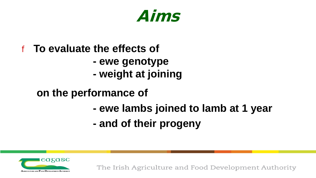

#### f **To evaluate the effects of**

- **- ewe genotype**
- **- weight at joining**

#### **on the performance of**

- **- ewe lambs joined to lamb at 1 year**
- **- and of their progeny**

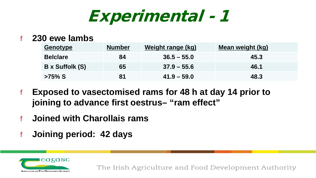Experimental - 1

#### f **230 ewe lambs**

| Genotype        | <b>Number</b> | <b>Weight range (kg)</b> | <b>Mean weight (kg)</b> |
|-----------------|---------------|--------------------------|-------------------------|
| <b>Belclare</b> | 84            | $36.5 - 55.0$            | 45.3                    |
| B x Suffolk (S) | 65            | $37.9 - 55.6$            | 46.1                    |
| $>75\%$ S       | 81            | $41.9 - 59.0$            | 48.3                    |

- f **Exposed to vasectomised rams for 48 h at day 14 prior to joining to advance first oestrus– "ram effect"**
- f **Joined with Charollais rams**
- f **Joining period: 42 days**

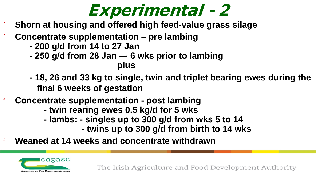## Experimental - 2

- f **Shorn at housing and offered high feed-value grass silage**
- f **Concentrate supplementation – pre lambing**
	- **- 200 g/d from 14 to 27 Jan**
	- **- 250 g/d from 28 Jan → 6 wks prior to lambing plus**
	- **- 18, 26 and 33 kg to single, twin and triplet bearing ewes during the final 6 weeks of gestation**
- f **Concentrate supplementation - post lambing**
	- **- twin rearing ewes 0.5 kg/d for 5 wks**
	- **- lambs: - singles up to 300 g/d from wks 5 to 14**
		- **- twins up to 300 g/d from birth to 14 wks**
- f **Weaned at 14 weeks and concentrate withdrawn**

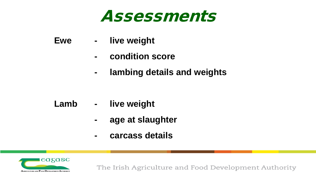### Assessments

- **Ewe - live weight**
	- **- condition score**
	- **- lambing details and weights**

- **Lamb - live weight**
	- **- age at slaughter**
	- **- carcass details**

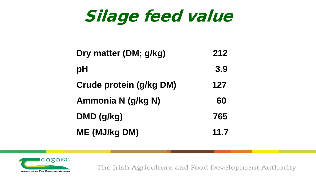Silage feed value

| Dry matter (DM; g/kg)          | 212  |
|--------------------------------|------|
| pH                             | 3.9  |
| <b>Crude protein (g/kg DM)</b> | 127  |
| Ammonia N (g/kg N)             | 60   |
| DMD (g/kg)                     | 765  |
| <b>ME (MJ/kg DM)</b>           | 11.7 |

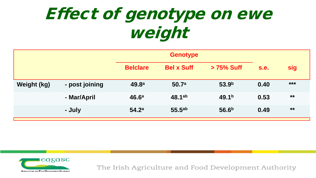# Effect of genotype on ewe weight

|             |                | <b>Genotype</b>   |                   |                   |      |            |
|-------------|----------------|-------------------|-------------------|-------------------|------|------------|
|             |                | <b>Belclare</b>   | <b>Bel x Suff</b> | > 75% Suff        | s.e. | <b>sig</b> |
| Weight (kg) | - post joining | 49.8 <sup>a</sup> | 50.7a             | 53.9 <sup>b</sup> | 0.40 | $***$      |
|             | - Mar/April    | 46.6 <sup>a</sup> | $48.1^{ab}$       | 49.1 <sup>b</sup> | 0.53 | $***$      |
|             | - July         | 54.2 <sup>a</sup> | 55.5a             | 56.6 <sup>b</sup> | 0.49 | $***$      |

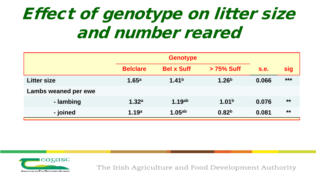# Effect of genotype on litter size and number reared

|                      | <b>Belclare</b>   | <b>Bel x Suff</b>  | > 75% Suff        | <b>s.e.</b> | <b>sig</b> |
|----------------------|-------------------|--------------------|-------------------|-------------|------------|
| <b>Litter size</b>   | 1.65 <sup>a</sup> | 1.41 <sup>b</sup>  | 1.26 <sup>b</sup> | 0.066       | $***$      |
| Lambs weaned per ewe |                   |                    |                   |             |            |
| - lambing            | 1.32 <sup>a</sup> | 1.19 <sup>ab</sup> | 1.01 <sup>b</sup> | 0.076       | $***$      |
| - joined             | 1.19a             | 1.05 <sup>ab</sup> | 0.82 <sup>b</sup> | 0.081       | $***$      |

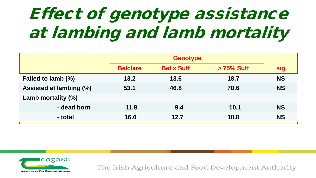# Effect of genotype assistance at lambing and lamb mortality

|                         | <b>Belclare</b> | <b>Bel x Suff</b> | > 75% Suff | sig       |
|-------------------------|-----------------|-------------------|------------|-----------|
| Failed to lamb (%)      | 13.2            | 13.6              | 18.7       | <b>NS</b> |
| Assisted at lambing (%) | 53.1            | 46.8              | 70.6       | <b>NS</b> |
| Lamb mortality (%)      |                 |                   |            |           |
| - dead born             | 11.8            | 9.4               | 10.1       | <b>NS</b> |
| - total                 | 16.0            | 12.7              | 18.8       | <b>NS</b> |

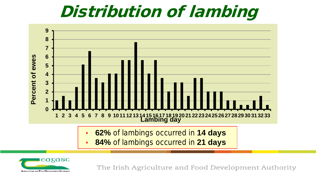## Distribution of lambing



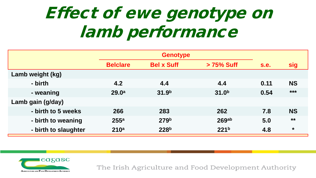# Effect of ewe genotype on lamb performance

|                      | <b>Genotype</b>   |                   |                   |      |           |
|----------------------|-------------------|-------------------|-------------------|------|-----------|
|                      | <b>Belclare</b>   | <b>Bel x Suff</b> | > 75% Suff        | s.e. | sig       |
| Lamb weight (kg)     |                   |                   |                   |      |           |
| - birth              | 4.2               | 4.4               | 4.4               | 0.11 | <b>NS</b> |
| - weaning            | 29.0 <sup>a</sup> | 31.9 <sup>b</sup> | 31.0 <sup>b</sup> | 0.54 | $***$     |
| Lamb gain (g/day)    |                   |                   |                   |      |           |
| - birth to 5 weeks   | 266               | 283               | 262               | 7.8  | <b>NS</b> |
| - birth to weaning   | 255 <sup>a</sup>  | 279 <sup>b</sup>  | 269 <sub>ab</sub> | 5.0  | $***$     |
| - birth to slaughter | 210 <sup>a</sup>  | 228 <sup>b</sup>  | 221 <sup>b</sup>  | 4.8  | $\star$   |

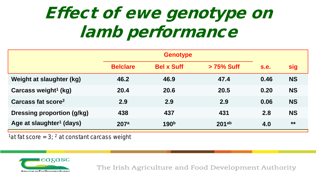# Effect of ewe genotype on lamb performance

|                                      | <b>Genotype</b> |                   |                   |             |           |
|--------------------------------------|-----------------|-------------------|-------------------|-------------|-----------|
|                                      | <b>Belclare</b> | <b>Bel x Suff</b> | > 75% Suff        | <b>s.e.</b> | sig       |
| Weight at slaughter (kg)             | 46.2            | 46.9              | 47.4              | 0.46        | <b>NS</b> |
| Carcass weight <sup>1</sup> (kg)     | 20.4            | 20.6              | 20.5              | 0.20        | <b>NS</b> |
| Carcass fat score <sup>2</sup>       | 2.9             | 2.9               | 2.9               | 0.06        | <b>NS</b> |
| <b>Dressing proportion (g/kg)</b>    | 438             | 437               | 431               | 2.8         | <b>NS</b> |
| Age at slaughter <sup>1</sup> (days) | 207a            | 190 <sup>b</sup>  | 201 <sub>ab</sub> | 4.0         | $***$     |

<sup>1</sup> at fat score = 3; <sup>2</sup> at constant carcass weight

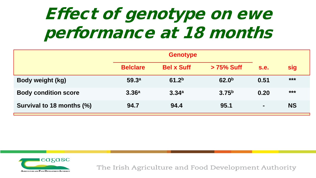# Effect of genotype on ewe performance at 18 months

|                             | <b>Genotype</b>   |                   |                   |                |            |
|-----------------------------|-------------------|-------------------|-------------------|----------------|------------|
|                             | <b>Belclare</b>   | <b>Bel x Suff</b> | > 75% Suff        | s.e.           | <b>sig</b> |
| <b>Body weight (kg)</b>     | 59.3 <sup>a</sup> | 61.2 <sup>b</sup> | 62.0 <sup>b</sup> | 0.51           | $***$      |
| <b>Body condition score</b> | 3.36 <sup>a</sup> | 3.34a             | 3.75 <sup>b</sup> | 0.20           | $***$      |
| Survival to 18 months (%)   | 94.7              | 94.4              | 95.1              | $\blacksquare$ | <b>NS</b>  |

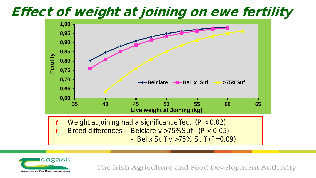#### Effect of weight at joining on ewe fertility



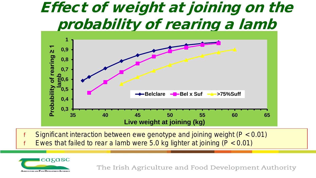### Effect of weight at joining on the probability of rearing a lamb



Significant interaction between ewe genotype and joining weight ( $P < 0.01$ ) Ewes that failed to rear a lamb were 5.0 kg lighter at joining ( $P < 0.01$ )

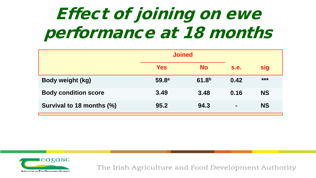# Effect of joining on ewe performance at 18 months

|                             | <b>Joined</b>     |                   |                |            |
|-----------------------------|-------------------|-------------------|----------------|------------|
|                             | <b>Yes</b>        | <b>No</b>         | s.e.           | <b>sig</b> |
| <b>Body weight (kg)</b>     | 59.8 <sup>a</sup> | 61.8 <sup>b</sup> | 0.42           | $***$      |
| <b>Body condition score</b> | 3.49              | 3.48              | 0.16           | <b>NS</b>  |
| Survival to 18 months (%)   | 95.2              | 94.3              | $\blacksquare$ | <b>NS</b>  |

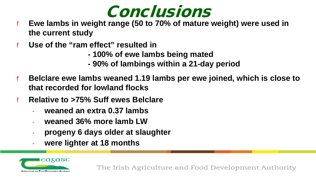

- f **Ewe lambs in weight range (50 to 70% of mature weight) were used in the current study**
- f **Use of the "ram effect" resulted in**
	- **- 100% of ewe lambs being mated**
	- **- 90% of lambings within a 21-day period**
- f **Belclare ewe lambs weaned 1.19 lambs per ewe joined, which is close to that recorded for lowland flocks**
- f **Relative to >75% Suff ewes Belclare**
	- **weaned an extra 0.37 lambs**
	- **weaned 36% more lamb LW**
	- **progeny 6 days older at slaughter**
	- **were lighter at 18 months**

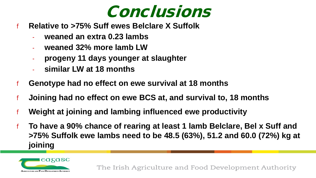

- f **Relative to >75% Suff ewes Belclare X Suffolk**
	- **weaned an extra 0.23 lambs**
	- **weaned 32% more lamb LW**
	- **progeny 11 days younger at slaughter**
	- **similar LW at 18 months**
- f **Genotype had no effect on ewe survival at 18 months**
- f **Joining had no effect on ewe BCS at, and survival to, 18 months**
- f **Weight at joining and lambing influenced ewe productivity**
- To have a 90% chance of rearing at least 1 lamb Belclare, Bel x Suff and **>75% Suffolk ewe lambs need to be 48.5 (63%), 51.2 and 60.0 (72%) kg at joining**

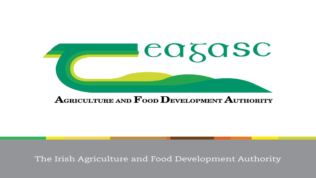

#### AGRICULTURE AND  $\mathbf F$ OOD DEVELOPMENT AUTHORITY